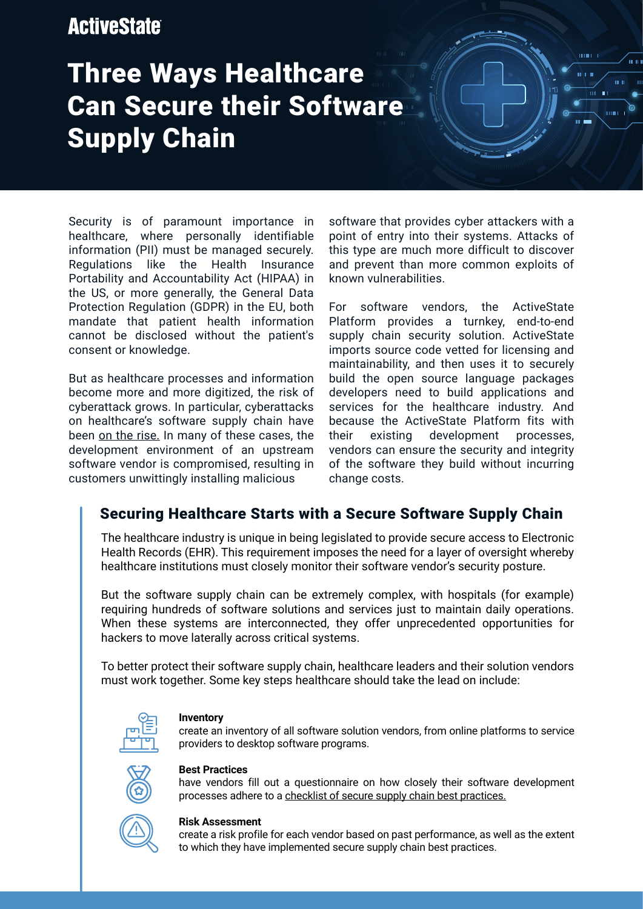## **ActiveState**

# Three Ways Healthcare Can Secure their Software Supply Chain

Security is of paramount importance in healthcare, where personally identifiable information (PII) must be managed securely. Regulations like the Health Insurance Portability and Accountability Act (HIPAA) in the US, or more generally, the General Data Protection Regulation (GDPR) in the EU, both mandate that patient health information cannot be disclosed without the patient's consent or knowledge.

But as healthcare processes and information become more and more digitized, the risk of cyberattack grows. In particular, cyberattacks on healthcare's software supply chain have been [on the rise.](https://www.zdnet.com/article/fbi-re-sends-alert-about-supply-chain-attacks-for-the-third-time-in-three-months/) In many of these cases, the development environment of an upstream software vendor is compromised, resulting in customers unwittingly installing malicious

software that provides cyber attackers with a point of entry into their systems. Attacks of this type are much more difficult to discover and prevent than more common exploits of known vulnerabilities.

 $100\pm100$ mba m

 $m - n$ 

For software vendors, the ActiveState Platform provides a turnkey, end-to-end supply chain security solution. ActiveState imports source code vetted for licensing and maintainability, and then uses it to securely build the open source language packages developers need to build applications and services for the healthcare industry. And because the ActiveState Platform fits with their existing development processes, vendors can ensure the security and integrity of the software they build without incurring change costs.

## Securing Healthcare Starts with a Secure Software Supply Chain

The healthcare industry is unique in being legislated to provide secure access to Electronic Health Records (EHR). This requirement imposes the need for a layer of oversight whereby healthcare institutions must closely monitor their software vendor's security posture.

But the software supply chain can be extremely complex, with hospitals (for example) requiring hundreds of software solutions and services just to maintain daily operations. When these systems are interconnected, they offer unprecedented opportunities for hackers to move laterally across critical systems.

To better protect their software supply chain, healthcare leaders and their solution vendors must work together. Some key steps healthcare should take the lead on include:



## **Inventory**

create an inventory of all software solution vendors, from online platforms to service providers to desktop software programs.



## **Best Practices**

have vendors fill out a questionnaire on how closely their software development processes adhere to a [checklist of secure supply chain best practices.](https://www.activestate.com/resources/datasheets/ciso-guide-to-software-supply-chain-security/)



#### **Risk Assessment**

create a risk profile for each vendor based on past performance, as well as the extent to which they have implemented secure supply chain best practices.